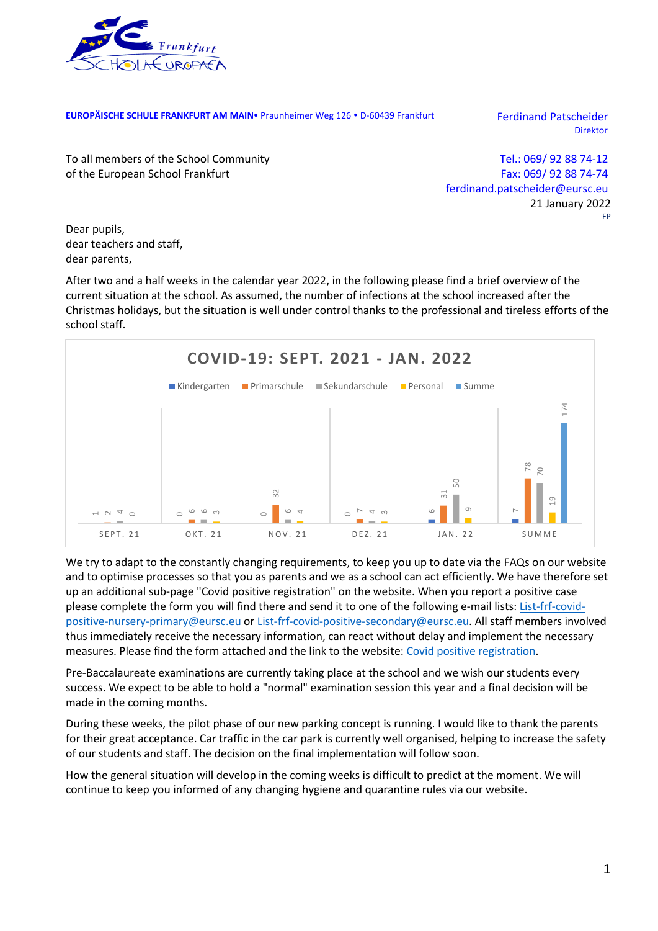

**EUROPÄISCHE SCHULE FRANKFURT AM MAIN** Praunheimer Weg 126 · D-60439 Frankfurt Ferdinand Patscheider

Direktor

To all members of the School Community of the European School Frankfurt

Tel.: 069/ 92 88 74-12 Fax: 069/ 92 88 74-74 ferdinand.patscheider@eursc.eu 21 January 2022 FP

Dear pupils, dear teachers and staff, dear parents,

After two and a half weeks in the calendar year 2022, in the following please find a brief overview of the current situation at the school. As assumed, the number of infections at the school increased after the Christmas holidays, but the situation is well under control thanks to the professional and tireless efforts of the school staff.



We try to adapt to the constantly changing requirements, to keep you up to date via the FAQs on our website and to optimise processes so that you as parents and we as a school can act efficiently. We have therefore set up an additional sub-page "Covid positive registration" on the website. When you report a positive case please complete the form you will find there and send it to one of the following e-mail lists: [List-frf-covid](mailto:List-frf-covid-positive-nursery-primary@eursc.eu)[positive-nursery-primary@eursc.eu](mailto:List-frf-covid-positive-nursery-primary@eursc.eu) or [List-frf-covid-positive-secondary@eursc.eu.](mailto:List-frf-covid-positive-secondary@eursc.eu) All staff members involved thus immediately receive the necessary information, can react without delay and implement the necessary measures. Please find the form attached and the link to the website: [Covid positive registration.](https://www.esffm.org/en/covid-19/translate-to-englisch-covid-positive-registration)

Pre-Baccalaureate examinations are currently taking place at the school and we wish our students every success. We expect to be able to hold a "normal" examination session this year and a final decision will be made in the coming months.

During these weeks, the pilot phase of our new parking concept is running. I would like to thank the parents for their great acceptance. Car traffic in the car park is currently well organised, helping to increase the safety of our students and staff. The decision on the final implementation will follow soon.

How the general situation will develop in the coming weeks is difficult to predict at the moment. We will continue to keep you informed of any changing hygiene and quarantine rules via our website.